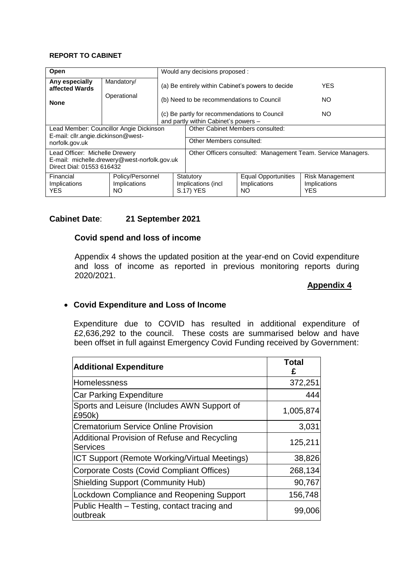#### **REPORT TO CABINET**

| Open                                                                                                        |                                  | Would any decisions proposed:                                                               |                                                              |                                            |                                        |
|-------------------------------------------------------------------------------------------------------------|----------------------------------|---------------------------------------------------------------------------------------------|--------------------------------------------------------------|--------------------------------------------|----------------------------------------|
| Any especially<br>affected Wards                                                                            | Mandatory/                       |                                                                                             | (a) Be entirely within Cabinet's powers to decide            | <b>YES</b>                                 |                                        |
| <b>None</b>                                                                                                 | Operational                      | (b) Need to be recommendations to Council                                                   |                                                              |                                            | NO.                                    |
|                                                                                                             |                                  | (c) Be partly for recommendations to Council<br>NO.<br>and partly within Cabinet's powers - |                                                              |                                            |                                        |
| Lead Member: Councillor Angie Dickinson                                                                     |                                  | Other Cabinet Members consulted:                                                            |                                                              |                                            |                                        |
| E-mail: cllr.angie.dickinson@west-<br>norfolk.gov.uk                                                        |                                  | Other Members consulted:                                                                    |                                                              |                                            |                                        |
| Lead Officer: Michelle Drewery<br>E-mail: michelle.drewery@west-norfolk.gov.uk<br>Direct Dial: 01553 616432 |                                  |                                                                                             | Other Officers consulted: Management Team. Service Managers. |                                            |                                        |
| Financial<br>Implications                                                                                   | Policy/Personnel<br>Implications |                                                                                             | Statutory<br>Implications (incl                              | <b>Equal Opportunities</b><br>Implications | <b>Risk Management</b><br>Implications |
| <b>YES</b>                                                                                                  | NO.                              |                                                                                             | S.17) YES                                                    | NO.                                        | <b>YES</b>                             |

# **Cabinet Date**: **21 September 2021**

## **Covid spend and loss of income**

Appendix 4 shows the updated position at the year-end on Covid expenditure and loss of income as reported in previous monitoring reports during 2020/2021.

# **Appendix 4**

# **Covid Expenditure and Loss of Income**

Expenditure due to COVID has resulted in additional expenditure of £2,636,292 to the council. These costs are summarised below and have been offset in full against Emergency Covid Funding received by Government:

| <b>Additional Expenditure</b>                                   | <b>Total</b><br>£ |
|-----------------------------------------------------------------|-------------------|
| Homelessness                                                    | 372,251           |
| <b>Car Parking Expenditure</b>                                  | 444               |
| Sports and Leisure (Includes AWN Support of<br>£950k)           | 1,005,874         |
| <b>Crematorium Service Online Provision</b>                     | 3,031             |
| Additional Provision of Refuse and Recycling<br><b>Services</b> | 125,211           |
| ICT Support (Remote Working/Virtual Meetings)                   | 38,826            |
| Corporate Costs (Covid Compliant Offices)                       | 268,134           |
| <b>Shielding Support (Community Hub)</b>                        | 90,767            |
| <b>Lockdown Compliance and Reopening Support</b>                | 156,748           |
| Public Health – Testing, contact tracing and<br>outbreak        | 99,006            |